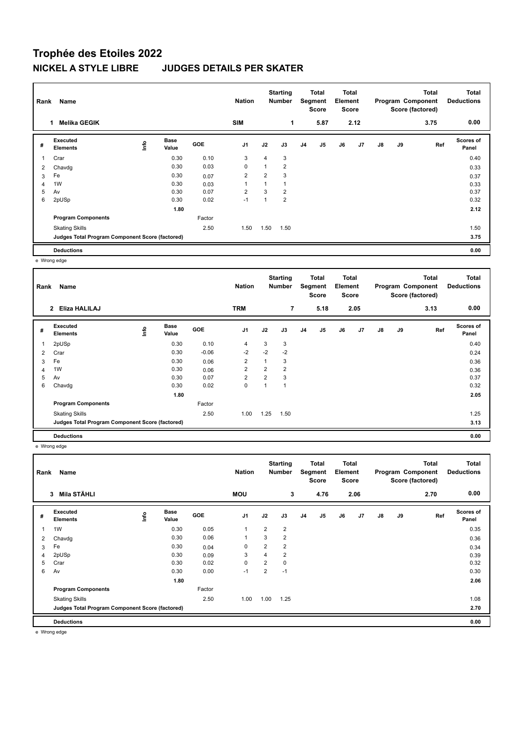## **Trophée des Etoiles 2022 NICKEL A STYLE LIBRE JUDGES DETAILS PER SKATER**

| Rank | Name                                            |    |                      |            | <b>Nation</b>  |                         | <b>Starting</b><br><b>Number</b> |                | Total<br>Segment<br>Score | Total<br>Element<br><b>Score</b> |      |               |    | <b>Total</b><br>Program Component<br>Score (factored) | <b>Total</b><br><b>Deductions</b> |
|------|-------------------------------------------------|----|----------------------|------------|----------------|-------------------------|----------------------------------|----------------|---------------------------|----------------------------------|------|---------------|----|-------------------------------------------------------|-----------------------------------|
|      | <b>Melika GEGIK</b>                             |    |                      |            | <b>SIM</b>     |                         | 1                                |                | 5.87                      |                                  | 2.12 |               |    | 3.75                                                  | 0.00                              |
| #    | Executed<br><b>Elements</b>                     | ۴ů | <b>Base</b><br>Value | <b>GOE</b> | J <sub>1</sub> | J2                      | J3                               | J <sub>4</sub> | J5                        | J6                               | J7   | $\mathsf{J}8$ | J9 | Ref                                                   | <b>Scores of</b><br>Panel         |
| 1    | Crar                                            |    | 0.30                 | 0.10       | 3              | 4                       | 3                                |                |                           |                                  |      |               |    |                                                       | 0.40                              |
| 2    | Chavdg                                          |    | 0.30                 | 0.03       | 0              | $\overline{\mathbf{A}}$ | $\overline{2}$                   |                |                           |                                  |      |               |    |                                                       | 0.33                              |
| 3    | Fe                                              |    | 0.30                 | 0.07       | 2              | $\overline{2}$          | 3                                |                |                           |                                  |      |               |    |                                                       | 0.37                              |
| 4    | 1W                                              |    | 0.30                 | 0.03       | 1              | $\overline{A}$          | 1                                |                |                           |                                  |      |               |    |                                                       | 0.33                              |
| 5    | Av                                              |    | 0.30                 | 0.07       | $\overline{2}$ | 3                       | $\overline{2}$                   |                |                           |                                  |      |               |    |                                                       | 0.37                              |
| 6    | 2pUSp                                           |    | 0.30                 | 0.02       | $-1$           |                         | $\overline{2}$                   |                |                           |                                  |      |               |    |                                                       | 0.32                              |
|      |                                                 |    | 1.80                 |            |                |                         |                                  |                |                           |                                  |      |               |    |                                                       | 2.12                              |
|      | <b>Program Components</b>                       |    |                      | Factor     |                |                         |                                  |                |                           |                                  |      |               |    |                                                       |                                   |
|      | <b>Skating Skills</b>                           |    |                      | 2.50       | 1.50           | 1.50                    | 1.50                             |                |                           |                                  |      |               |    |                                                       | 1.50                              |
|      | Judges Total Program Component Score (factored) |    |                      |            |                |                         |                                  |                |                           |                                  |      |               |    |                                                       | 3.75                              |
|      | <b>Deductions</b>                               |    |                      |            |                |                         |                                  |                |                           |                                  |      |               |    |                                                       | 0.00                              |

e Wrong edge

| Rank                    | Name                                            |                                  |                      |            | <b>Nation</b>  |                         | <b>Starting</b><br><b>Number</b> |                | <b>Total</b><br>Segment<br><b>Score</b> | <b>Total</b><br>Element<br><b>Score</b> |      |               |    | <b>Total</b><br>Program Component<br>Score (factored) | <b>Total</b><br><b>Deductions</b> |
|-------------------------|-------------------------------------------------|----------------------------------|----------------------|------------|----------------|-------------------------|----------------------------------|----------------|-----------------------------------------|-----------------------------------------|------|---------------|----|-------------------------------------------------------|-----------------------------------|
|                         | 2 Eliza HALILAJ                                 |                                  |                      |            | <b>TRM</b>     |                         | $\overline{7}$                   |                | 5.18                                    |                                         | 2.05 |               |    | 3.13                                                  | 0.00                              |
| #                       | Executed<br><b>Elements</b>                     | $\mathop{\mathsf{Irr}}\nolimits$ | <b>Base</b><br>Value | <b>GOE</b> | J <sub>1</sub> | J2                      | J3                               | J <sub>4</sub> | J5                                      | J6                                      | J7   | $\mathsf{J}8$ | J9 | Ref                                                   | Scores of<br>Panel                |
| $\overline{\mathbf{1}}$ | 2pUSp                                           |                                  | 0.30                 | 0.10       | 4              | 3                       | 3                                |                |                                         |                                         |      |               |    |                                                       | 0.40                              |
| $\overline{2}$          | Crar                                            |                                  | 0.30                 | $-0.06$    | $-2$           | $-2$                    | $-2$                             |                |                                         |                                         |      |               |    |                                                       | 0.24                              |
| 3                       | Fe                                              |                                  | 0.30                 | 0.06       | $\overline{2}$ | $\overline{1}$          | 3                                |                |                                         |                                         |      |               |    |                                                       | 0.36                              |
| $\overline{4}$          | 1W                                              |                                  | 0.30                 | 0.06       | $\overline{2}$ | $\overline{2}$          | $\overline{2}$                   |                |                                         |                                         |      |               |    |                                                       | 0.36                              |
| 5                       | Av                                              |                                  | 0.30                 | 0.07       | $\overline{2}$ | $\overline{2}$          | 3                                |                |                                         |                                         |      |               |    |                                                       | 0.37                              |
| 6                       | Chavdg                                          |                                  | 0.30                 | 0.02       | 0              | $\overline{\mathbf{A}}$ | $\overline{A}$                   |                |                                         |                                         |      |               |    |                                                       | 0.32                              |
|                         |                                                 |                                  | 1.80                 |            |                |                         |                                  |                |                                         |                                         |      |               |    |                                                       | 2.05                              |
|                         | <b>Program Components</b>                       |                                  |                      | Factor     |                |                         |                                  |                |                                         |                                         |      |               |    |                                                       |                                   |
|                         | <b>Skating Skills</b>                           |                                  |                      | 2.50       | 1.00           | 1.25                    | 1.50                             |                |                                         |                                         |      |               |    |                                                       | 1.25                              |
|                         | Judges Total Program Component Score (factored) |                                  |                      |            |                |                         |                                  |                |                                         |                                         |      |               |    |                                                       | 3.13                              |
|                         | <b>Deductions</b>                               |                                  |                      |            |                |                         |                                  |                |                                         |                                         |      |               |    |                                                       | 0.00                              |

e Wrong edge

| Rank | Name                                            |    |                      |        | <b>Nation</b>  |                | <b>Starting</b><br><b>Number</b> |                | <b>Total</b><br>Segment<br><b>Score</b> | <b>Total</b><br>Element<br><b>Score</b> |      |               |    | <b>Total</b><br>Program Component<br>Score (factored) | <b>Total</b><br><b>Deductions</b> |
|------|-------------------------------------------------|----|----------------------|--------|----------------|----------------|----------------------------------|----------------|-----------------------------------------|-----------------------------------------|------|---------------|----|-------------------------------------------------------|-----------------------------------|
|      | Mila STÄHLI<br>3                                |    |                      |        | <b>MOU</b>     |                | 3                                |                | 4.76                                    |                                         | 2.06 |               |    | 2.70                                                  | 0.00                              |
| #    | Executed<br><b>Elements</b>                     | ١m | <b>Base</b><br>Value | GOE    | J <sub>1</sub> | J2             | J3                               | J <sub>4</sub> | J5                                      | J6                                      | J7   | $\mathsf{J}8$ | J9 | Ref                                                   | <b>Scores of</b><br>Panel         |
| 1    | 1W                                              |    | 0.30                 | 0.05   | $\mathbf{1}$   | $\overline{2}$ | $\overline{2}$                   |                |                                         |                                         |      |               |    |                                                       | 0.35                              |
| 2    | Chavdg                                          |    | 0.30                 | 0.06   | 1              | 3              | $\overline{2}$                   |                |                                         |                                         |      |               |    |                                                       | 0.36                              |
| 3    | Fe                                              |    | 0.30                 | 0.04   | $\mathbf 0$    | $\overline{2}$ | $\overline{2}$                   |                |                                         |                                         |      |               |    |                                                       | 0.34                              |
| 4    | 2pUSp                                           |    | 0.30                 | 0.09   | 3              | 4              | $\overline{2}$                   |                |                                         |                                         |      |               |    |                                                       | 0.39                              |
| 5    | Crar                                            |    | 0.30                 | 0.02   | $\mathbf 0$    | $\overline{2}$ | 0                                |                |                                         |                                         |      |               |    |                                                       | 0.32                              |
| 6    | Av                                              |    | 0.30                 | 0.00   | $-1$           | $\overline{2}$ | $-1$                             |                |                                         |                                         |      |               |    |                                                       | 0.30                              |
|      |                                                 |    | 1.80                 |        |                |                |                                  |                |                                         |                                         |      |               |    |                                                       | 2.06                              |
|      | <b>Program Components</b>                       |    |                      | Factor |                |                |                                  |                |                                         |                                         |      |               |    |                                                       |                                   |
|      | <b>Skating Skills</b>                           |    |                      | 2.50   | 1.00           | 1.00           | 1.25                             |                |                                         |                                         |      |               |    |                                                       | 1.08                              |
|      | Judges Total Program Component Score (factored) |    |                      |        |                |                |                                  |                |                                         |                                         |      |               |    |                                                       | 2.70                              |
|      | <b>Deductions</b>                               |    |                      |        |                |                |                                  |                |                                         |                                         |      |               |    |                                                       | 0.00                              |

e Wrong edge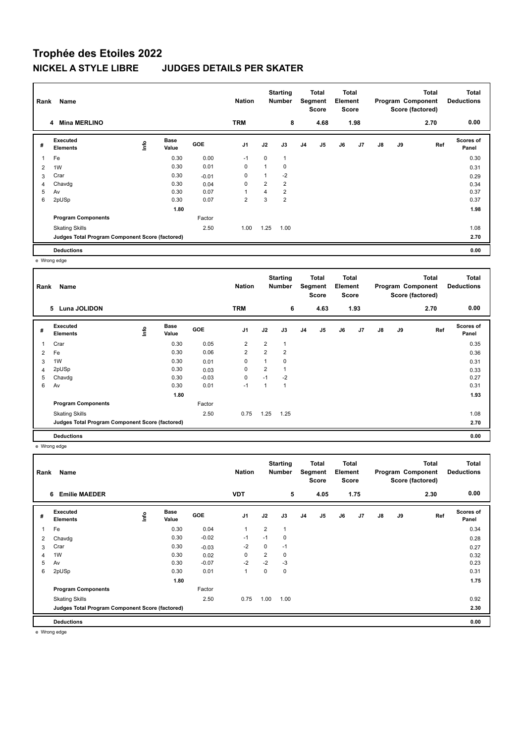## **Trophée des Etoiles 2022 NICKEL A STYLE LIBRE JUDGES DETAILS PER SKATER**

| Rank           | Name                                            |    |                      |            | <b>Nation</b>  |                | <b>Starting</b><br><b>Number</b> |                | Total<br>Segment<br><b>Score</b> | <b>Total</b><br>Element<br><b>Score</b> |                |    |    | <b>Total</b><br>Program Component<br>Score (factored) | Total<br><b>Deductions</b> |
|----------------|-------------------------------------------------|----|----------------------|------------|----------------|----------------|----------------------------------|----------------|----------------------------------|-----------------------------------------|----------------|----|----|-------------------------------------------------------|----------------------------|
|                | <b>Mina MERLINO</b><br>4                        |    |                      |            | <b>TRM</b>     |                | 8                                |                | 4.68                             |                                         | 1.98           |    |    | 2.70                                                  | 0.00                       |
| #              | Executed<br><b>Elements</b>                     | ۴Ů | <b>Base</b><br>Value | <b>GOE</b> | J <sub>1</sub> | J2             | J3                               | J <sub>4</sub> | J <sub>5</sub>                   | J6                                      | J <sub>7</sub> | J8 | J9 | Ref                                                   | <b>Scores of</b><br>Panel  |
|                | Fe                                              |    | 0.30                 | 0.00       | $-1$           | 0              |                                  |                |                                  |                                         |                |    |    |                                                       | 0.30                       |
| $\overline{2}$ | 1W                                              |    | 0.30                 | 0.01       | $\mathbf 0$    |                | 0                                |                |                                  |                                         |                |    |    |                                                       | 0.31                       |
| 3              | Crar                                            |    | 0.30                 | $-0.01$    | $\mathbf 0$    |                | $-2$                             |                |                                  |                                         |                |    |    |                                                       | 0.29                       |
| $\overline{4}$ | Chavdg                                          |    | 0.30                 | 0.04       | $\mathbf 0$    | $\overline{2}$ | $\overline{2}$                   |                |                                  |                                         |                |    |    |                                                       | 0.34                       |
| 5              | Av                                              |    | 0.30                 | 0.07       | $\overline{1}$ | 4              | $\overline{2}$                   |                |                                  |                                         |                |    |    |                                                       | 0.37                       |
| 6              | 2pUSp                                           |    | 0.30                 | 0.07       | $\overline{2}$ | 3              | $\overline{2}$                   |                |                                  |                                         |                |    |    |                                                       | 0.37                       |
|                |                                                 |    | 1.80                 |            |                |                |                                  |                |                                  |                                         |                |    |    |                                                       | 1.98                       |
|                | <b>Program Components</b>                       |    |                      | Factor     |                |                |                                  |                |                                  |                                         |                |    |    |                                                       |                            |
|                | <b>Skating Skills</b>                           |    |                      | 2.50       | 1.00           | 1.25           | 1.00                             |                |                                  |                                         |                |    |    |                                                       | 1.08                       |
|                | Judges Total Program Component Score (factored) |    |                      |            |                |                |                                  |                |                                  |                                         |                |    |    |                                                       | 2.70                       |
|                | <b>Deductions</b>                               |    |                      |            |                |                |                                  |                |                                  |                                         |                |    |    |                                                       | 0.00                       |

e Wrong edge

| Rank           | Name                                            |                                  |                      |            | <b>Nation</b>  |                | <b>Starting</b><br><b>Number</b> |                | <b>Total</b><br>Segment<br>Score | <b>Total</b><br>Element<br><b>Score</b> |      |               |    | <b>Total</b><br>Program Component<br>Score (factored) | <b>Total</b><br><b>Deductions</b> |
|----------------|-------------------------------------------------|----------------------------------|----------------------|------------|----------------|----------------|----------------------------------|----------------|----------------------------------|-----------------------------------------|------|---------------|----|-------------------------------------------------------|-----------------------------------|
|                | 5 Luna JOLIDON                                  |                                  |                      |            | <b>TRM</b>     |                | 6                                |                | 4.63                             |                                         | 1.93 |               |    | 2.70                                                  | 0.00                              |
| #              | Executed<br><b>Elements</b>                     | $\mathop{\mathsf{Irr}}\nolimits$ | <b>Base</b><br>Value | <b>GOE</b> | J <sub>1</sub> | J2             | J3                               | J <sub>4</sub> | J5                               | J6                                      | J7   | $\mathsf{J}8$ | J9 | Ref                                                   | Scores of<br>Panel                |
| 1              | Crar                                            |                                  | 0.30                 | 0.05       | 2              | $\overline{2}$ | $\overline{1}$                   |                |                                  |                                         |      |               |    |                                                       | 0.35                              |
| $\overline{2}$ | Fe                                              |                                  | 0.30                 | 0.06       | $\overline{2}$ | $\overline{2}$ | $\overline{2}$                   |                |                                  |                                         |      |               |    |                                                       | 0.36                              |
| 3              | 1W                                              |                                  | 0.30                 | 0.01       | 0              | 1              | 0                                |                |                                  |                                         |      |               |    |                                                       | 0.31                              |
| $\overline{4}$ | 2pUSp                                           |                                  | 0.30                 | 0.03       | 0              | $\overline{2}$ | $\mathbf 1$                      |                |                                  |                                         |      |               |    |                                                       | 0.33                              |
| 5              | Chavdg                                          |                                  | 0.30                 | $-0.03$    | 0              | $-1$           | $-2$                             |                |                                  |                                         |      |               |    |                                                       | 0.27                              |
| 6              | Av                                              |                                  | 0.30                 | 0.01       | $-1$           | 4              | $\overline{1}$                   |                |                                  |                                         |      |               |    |                                                       | 0.31                              |
|                |                                                 |                                  | 1.80                 |            |                |                |                                  |                |                                  |                                         |      |               |    |                                                       | 1.93                              |
|                | <b>Program Components</b>                       |                                  |                      | Factor     |                |                |                                  |                |                                  |                                         |      |               |    |                                                       |                                   |
|                | <b>Skating Skills</b>                           |                                  |                      | 2.50       | 0.75           | 1.25           | 1.25                             |                |                                  |                                         |      |               |    |                                                       | 1.08                              |
|                | Judges Total Program Component Score (factored) |                                  |                      |            |                |                |                                  |                |                                  |                                         |      |               |    |                                                       | 2.70                              |
|                | <b>Deductions</b>                               |                                  |                      |            |                |                |                                  |                |                                  |                                         |      |               |    |                                                       | 0.00                              |

e Wrong edge

| Rank | Name                                            |      |               |         | <b>Nation</b>  |                | <b>Starting</b><br><b>Number</b> |                | Total<br>Segment<br><b>Score</b> | Total<br>Element<br><b>Score</b> |                |               |    | <b>Total</b><br>Program Component<br>Score (factored) | <b>Total</b><br><b>Deductions</b> |
|------|-------------------------------------------------|------|---------------|---------|----------------|----------------|----------------------------------|----------------|----------------------------------|----------------------------------|----------------|---------------|----|-------------------------------------------------------|-----------------------------------|
|      | <b>Emilie MAEDER</b><br>6                       |      |               |         | <b>VDT</b>     |                | 5                                |                | 4.05                             |                                  | 1.75           |               |    | 2.30                                                  | 0.00                              |
| #    | Executed<br><b>Elements</b>                     | lnfo | Base<br>Value | GOE     | J <sub>1</sub> | J2             | J3                               | J <sub>4</sub> | J <sub>5</sub>                   | J6                               | J <sub>7</sub> | $\mathsf{J}8$ | J9 | Ref                                                   | Scores of<br>Panel                |
| 1    | Fe                                              |      | 0.30          | 0.04    | $\overline{1}$ | $\overline{2}$ | $\mathbf{1}$                     |                |                                  |                                  |                |               |    |                                                       | 0.34                              |
| 2    | Chavdg                                          |      | 0.30          | $-0.02$ | $-1$           | $-1$           | 0                                |                |                                  |                                  |                |               |    |                                                       | 0.28                              |
| 3    | Crar                                            |      | 0.30          | $-0.03$ | $-2$           | 0              | $-1$                             |                |                                  |                                  |                |               |    |                                                       | 0.27                              |
| 4    | 1W                                              |      | 0.30          | 0.02    | 0              | $\overline{2}$ | $\mathbf 0$                      |                |                                  |                                  |                |               |    |                                                       | 0.32                              |
| 5    | Av                                              |      | 0.30          | $-0.07$ | $-2$           | $-2$           | $-3$                             |                |                                  |                                  |                |               |    |                                                       | 0.23                              |
| 6    | 2pUSp                                           |      | 0.30          | 0.01    | $\overline{1}$ | 0              | 0                                |                |                                  |                                  |                |               |    |                                                       | 0.31                              |
|      |                                                 |      | 1.80          |         |                |                |                                  |                |                                  |                                  |                |               |    |                                                       | 1.75                              |
|      | <b>Program Components</b>                       |      |               | Factor  |                |                |                                  |                |                                  |                                  |                |               |    |                                                       |                                   |
|      | <b>Skating Skills</b>                           |      |               | 2.50    | 0.75           | 1.00           | 1.00                             |                |                                  |                                  |                |               |    |                                                       | 0.92                              |
|      | Judges Total Program Component Score (factored) |      |               |         |                |                |                                  |                |                                  |                                  |                |               |    |                                                       | 2.30                              |
|      | <b>Deductions</b>                               |      |               |         |                |                |                                  |                |                                  |                                  |                |               |    |                                                       | 0.00                              |

e Wrong edge